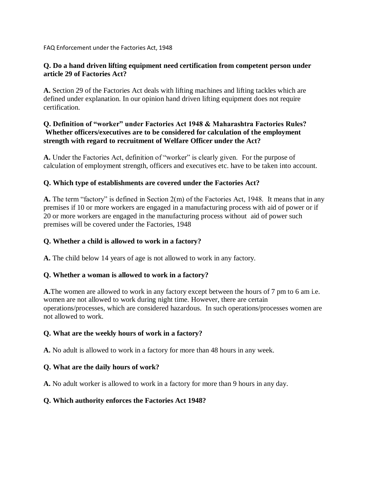FAQ Enforcement under the Factories Act, 1948

### **Q. Do a hand driven lifting equipment need certification from competent person under article 29 of Factories Act?**

**A.** Section 29 of the Factories Act deals with lifting machines and lifting tackles which are defined under explanation. In our opinion hand driven lifting equipment does not require certification.

## **Q. Definition of "worker" under Factories Act 1948 & Maharashtra Factories Rules? Whether officers/executives are to be considered for calculation of the employment strength with regard to recruitment of Welfare Officer under the Act?**

**A.** Under the Factories Act, definition of "worker" is clearly given. For the purpose of calculation of employment strength, officers and executives etc. have to be taken into account.

## **Q. Which type of establishments are covered under the Factories Act?**

**A.** The term "factory" is defined in Section 2(m) of the Factories Act, 1948. It means that in any premises if 10 or more workers are engaged in a manufacturing process with aid of power or if 20 or more workers are engaged in the manufacturing process without aid of power such premises will be covered under the Factories, 1948

## **Q. Whether a child is allowed to work in a factory?**

**A.** The child below 14 years of age is not allowed to work in any factory.

### **Q. Whether a woman is allowed to work in a factory?**

**A.**The women are allowed to work in any factory except between the hours of 7 pm to 6 am i.e. women are not allowed to work during night time. However, there are certain operations/processes, which are considered hazardous. In such operations/processes women are not allowed to work.

### **Q. What are the weekly hours of work in a factory?**

**A.** No adult is allowed to work in a factory for more than 48 hours in any week.

## **Q. What are the daily hours of work?**

**A.** No adult worker is allowed to work in a factory for more than 9 hours in any day.

### **Q. Which authority enforces the Factories Act 1948?**